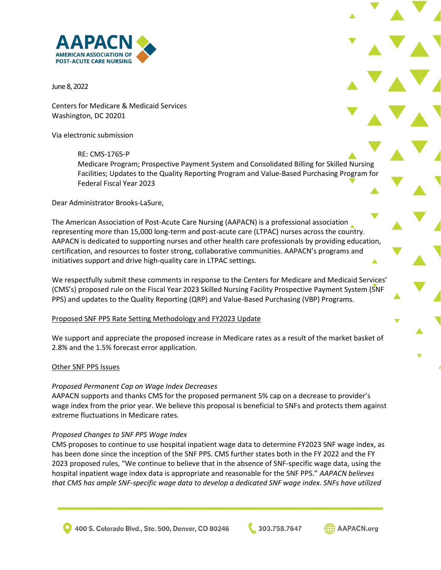

June 8, 2022

Centers for Medicare & Medicaid Services Washington, DC 20201

Via electronic submission

RE: CMS-1765-P Medicare Program; Prospective Payment System and Consolidated Billing for Skilled Nursing Facilities; Updates to the Quality Reporting Program and Value-Based Purchasing Program for Federal Fiscal Year 2023

Dear Administrator Brooks-LaSure,

The American Association of Post-Acute Care Nursing (AAPACN) is a professional association representing more than 15,000 long-term and post-acute care (LTPAC) nurses across the country. AAPACN is dedicated to supporting nurses and other health care professionals by providing education, certification, and resources to foster strong, collaborative communities. AAPACN's programs and initiatives support and drive high-quality care in LTPAC settings.

We respectfully submit these comments in response to the Centers for Medicare and Medicaid Services' (CMS's) proposed rule on the Fiscal Year 2023 Skilled Nursing Facility Prospective Payment System (SNF PPS) and updates to the Quality Reporting (QRP) and Value-Based Purchasing (VBP) Programs.

## Proposed SNF PPS Rate Setting Methodology and FY2023 Update

We support and appreciate the proposed increase in Medicare rates as a result of the market basket of 2.8% and the 1.5% forecast error application.

#### Other SNF PPS Issues

#### *Proposed Permanent Cap on Wage Index Decreases*

AAPACN supports and thanks CMS for the proposed permanent 5% cap on a decrease to provider's wage index from the prior year. We believe this proposal is beneficial to SNFs and protects them against extreme fluctuations in Medicare rates.

#### *Proposed Changes to SNF PPS Wage Index*

CMS proposes to continue to use hospital inpatient wage data to determine FY2023 SNF wage index, as has been done since the inception of the SNF PPS. CMS further states both in the FY 2022 and the FY 2023 proposed rules, "We continue to believe that in the absence of SNF-specific wage data, using the hospital inpatient wage index data is appropriate and reasonable for the SNF PPS." *AAPACN believes that CMS has ample SNF-specific wage data to develop a dedicated SNF wage index. SNFs have utilized* 

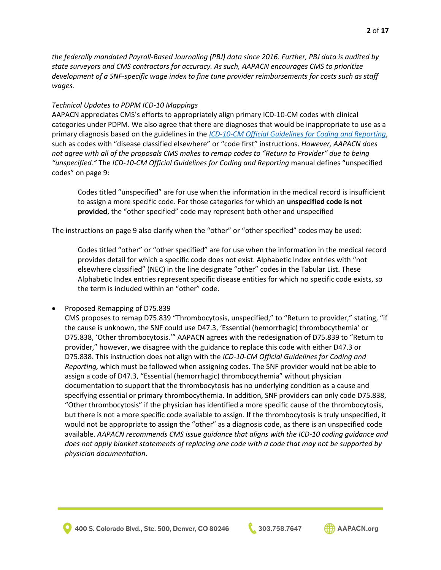*the federally mandated Payroll-Based Journaling (PBJ) data since 2016. Further, PBJ data is audited by state surveyors and CMS contractors for accuracy. As such, AAPACN encourages CMS to prioritize development of a SNF-specific wage index to fine tune provider reimbursements for costs such as staff wages.*

## *Technical Updates to PDPM ICD-10 Mappings*

AAPACN appreciates CMS's efforts to appropriately align primary ICD-10-CM codes with clinical categories under PDPM. We also agree that there are diagnoses that would be inappropriate to use as a primary diagnosis based on the guidelines in the *[ICD-10-CM Official Guidelines for Coding and Reporting](https://www.cms.gov/files/document/fy-2022-icd-10-cm-coding-guidelines-updated-02012022.pdf)*, such as codes with "disease classified elsewhere" or "code first" instructions. *However, AAPACN does not agree with all of the proposals CMS makes to remap codes to "Return to Provider" due to being "unspecified."* The *ICD-10-CM Official Guidelines for Coding and Reporting* manual defines "unspecified codes" on page 9:

Codes titled "unspecified" are for use when the information in the medical record is insufficient to assign a more specific code. For those categories for which an **unspecified code is not provided**, the "other specified" code may represent both other and unspecified

The instructions on page 9 also clarify when the "other" or "other specified" codes may be used:

Codes titled "other" or "other specified" are for use when the information in the medical record provides detail for which a specific code does not exist. Alphabetic Index entries with "not elsewhere classified" (NEC) in the line designate "other" codes in the Tabular List. These Alphabetic Index entries represent specific disease entities for which no specific code exists, so the term is included within an "other" code.

• Proposed Remapping of D75.839

CMS proposes to remap D75.839 "Thrombocytosis, unspecified," to "Return to provider," stating, "if the cause is unknown, the SNF could use D47.3, 'Essential (hemorrhagic) thrombocythemia' or D75.838, 'Other thrombocytosis.'" AAPACN agrees with the redesignation of D75.839 to "Return to provider," however, we disagree with the guidance to replace this code with either D47.3 or D75.838. This instruction does not align with the *ICD-10-CM Official Guidelines for Coding and Reporting,* which must be followed when assigning codes. The SNF provider would not be able to assign a code of D47.3, "Essential (hemorrhagic) thrombocythemia" without physician documentation to support that the thrombocytosis has no underlying condition as a cause and specifying essential or primary thrombocythemia. In addition, SNF providers can only code D75.838, "Other thrombocytosis" if the physician has identified a more specific cause of the thrombocytosis, but there is not a more specific code available to assign. If the thrombocytosis is truly unspecified, it would not be appropriate to assign the "other" as a diagnosis code, as there is an unspecified code available. *AAPACN recommends CMS issue guidance that aligns with the ICD-10 coding guidance and does not apply blanket statements of replacing one code with a code that may not be supported by physician documentation*.

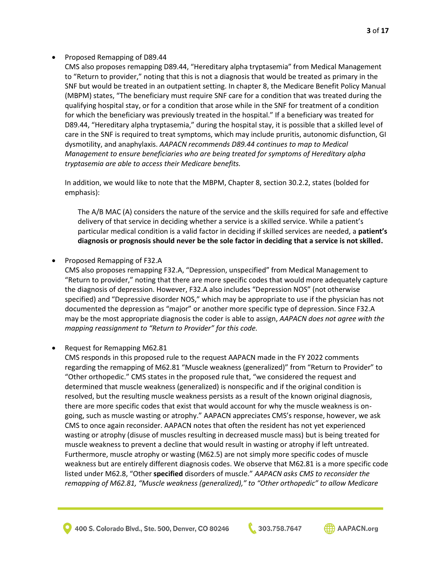## • Proposed Remapping of D89.44

CMS also proposes remapping D89.44, "Hereditary alpha tryptasemia" from Medical Management to "Return to provider," noting that this is not a diagnosis that would be treated as primary in the SNF but would be treated in an outpatient setting. In chapter 8, the Medicare Benefit Policy Manual (MBPM) states, "The beneficiary must require SNF care for a condition that was treated during the qualifying hospital stay, or for a condition that arose while in the SNF for treatment of a condition for which the beneficiary was previously treated in the hospital." If a beneficiary was treated for D89.44, "Hereditary alpha tryptasemia," during the hospital stay, it is possible that a skilled level of care in the SNF is required to treat symptoms, which may include pruritis, autonomic disfunction, GI dysmotility, and anaphylaxis. *AAPACN recommends D89.44 continues to map to Medical Management to ensure beneficiaries who are being treated for symptoms of Hereditary alpha tryptasemia are able to access their Medicare benefits.* 

In addition, we would like to note that the MBPM, Chapter 8, section 30.2.2, states (bolded for emphasis):

The A/B MAC (A) considers the nature of the service and the skills required for safe and effective delivery of that service in deciding whether a service is a skilled service. While a patient's particular medical condition is a valid factor in deciding if skilled services are needed, a **patient's diagnosis or prognosis should never be the sole factor in deciding that a service is not skilled.**

# • Proposed Remapping of F32.A

CMS also proposes remapping F32.A, "Depression, unspecified" from Medical Management to "Return to provider," noting that there are more specific codes that would more adequately capture the diagnosis of depression. However, F32.A also includes "Depression NOS" (not otherwise specified) and "Depressive disorder NOS," which may be appropriate to use if the physician has not documented the depression as "major" or another more specific type of depression. Since F32.A may be the most appropriate diagnosis the coder is able to assign, *AAPACN does not agree with the mapping reassignment to "Return to Provider" for this code.*

## • Request for Remapping M62.81

CMS responds in this proposed rule to the request AAPACN made in the FY 2022 comments regarding the remapping of M62.81 "Muscle weakness (generalized)" from "Return to Provider" to "Other orthopedic." CMS states in the proposed rule that, "we considered the request and determined that muscle weakness (generalized) is nonspecific and if the original condition is resolved, but the resulting muscle weakness persists as a result of the known original diagnosis, there are more specific codes that exist that would account for why the muscle weakness is ongoing, such as muscle wasting or atrophy." AAPACN appreciates CMS's response, however, we ask CMS to once again reconsider. AAPACN notes that often the resident has not yet experienced wasting or atrophy (disuse of muscles resulting in decreased muscle mass) but is being treated for muscle weakness to prevent a decline that would result in wasting or atrophy if left untreated. Furthermore, muscle atrophy or wasting (M62.5) are not simply more specific codes of muscle weakness but are entirely different diagnosis codes. We observe that M62.81 is a more specific code listed under M62.8, "Other **specified** disorders of muscle." *AAPACN asks CMS to reconsider the remapping of M62.81, "Muscle weakness (generalized)," to "Other orthopedic" to allow Medicare* 

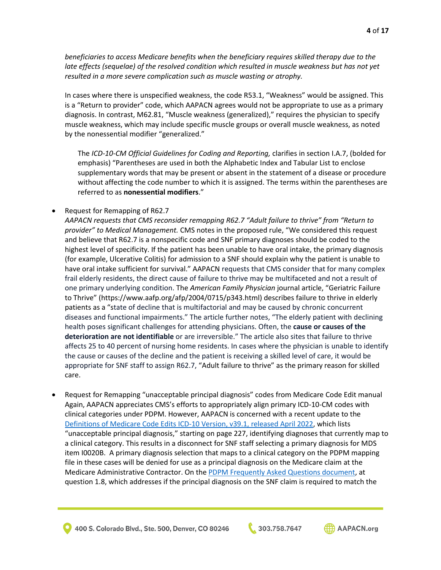*beneficiaries to access Medicare benefits when the beneficiary requires skilled therapy due to the*  late effects (sequelae) of the resolved condition which resulted in muscle weakness but has not yet *resulted in a more severe complication such as muscle wasting or atrophy.*

In cases where there is unspecified weakness, the code R53.1, "Weakness" would be assigned. This is a "Return to provider" code, which AAPACN agrees would not be appropriate to use as a primary diagnosis. In contrast, M62.81, "Muscle weakness (generalized)," requires the physician to specify muscle weakness, which may include specific muscle groups or overall muscle weakness, as noted by the nonessential modifier "generalized."

The *ICD-10-CM Official Guidelines for Coding and Reporting,* clarifies in section I.A.7, (bolded for emphasis) "Parentheses are used in both the Alphabetic Index and Tabular List to enclose supplementary words that may be present or absent in the statement of a disease or procedure without affecting the code number to which it is assigned. The terms within the parentheses are referred to as **nonessential modifiers**."

• Request for Remapping of R62.7

*AAPACN requests that CMS reconsider remapping R62.7 "Adult failure to thrive" from "Return to provider" to Medical Management.* CMS notes in the proposed rule, "We considered this request and believe that R62.7 is a nonspecific code and SNF primary diagnoses should be coded to the highest level of specificity. If the patient has been unable to have oral intake, the primary diagnosis (for example, Ulcerative Colitis) for admission to a SNF should explain why the patient is unable to have oral intake sufficient for survival." AAPACN requests that CMS consider that for many complex frail elderly residents, the direct cause of failure to thrive may be multifaceted and not a result of one primary underlying condition. The *American Family Physician* journal article, "Geriatric Failure to Thrive" (https://www.aafp.org/afp/2004/0715/p343.html) describes failure to thrive in elderly patients as a "state of decline that is multifactorial and may be caused by chronic concurrent diseases and functional impairments." The article further notes, "The elderly patient with declining health poses significant challenges for attending physicians. Often, the **cause or causes of the deterioration are not identifiable** or are irreversible." The article also sites that failure to thrive affects 25 to 40 percent of nursing home residents. In cases where the physician is unable to identify the cause or causes of the decline and the patient is receiving a skilled level of care, it would be appropriate for SNF staff to assign R62.7, "Adult failure to thrive" as the primary reason for skilled care.

• Request for Remapping "unacceptable principal diagnosis" codes from Medicare Code Edit manual Again, AAPACN appreciates CMS's efforts to appropriately align primary ICD-10-CM codes with clinical categories under PDPM. However, AAPACN is concerned with a recent update to the [Definitions of Medicare Code Edits ICD-10 Version, v39.1, released April 2022,](https://www.cms.gov/Medicare/Medicare-Fee-for-Service-Payment/AcuteInpatientPPS/MS-DRG-Classifications-and-Software) which lists "unacceptable principal diagnosis," starting on page 227, identifying diagnoses that currently map to a clinical category. This results in a disconnect for SNF staff selecting a primary diagnosis for MDS item I0020B. A primary diagnosis selection that maps to a clinical category on the PDPM mapping file in these cases will be denied for use as a principal diagnosis on the Medicare claim at the Medicare Administrative Contractor. On th[e PDPM Frequently Asked Questions](https://www.cms.gov/Medicare/Medicare-Fee-for-Service-Payment/SNFPPS/PDPM#faq) document, at question 1.8, which addresses if the principal diagnosis on the SNF claim is required to match the

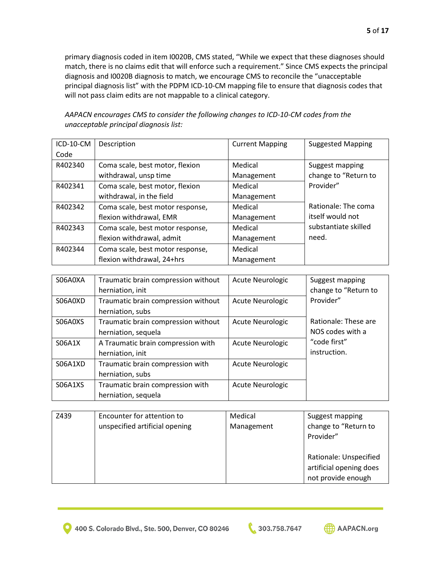primary diagnosis coded in item I0020B, CMS stated, "While we expect that these diagnoses should match, there is no claims edit that will enforce such a requirement." Since CMS expects the principal diagnosis and I0020B diagnosis to match, we encourage CMS to reconcile the "unacceptable principal diagnosis list" with the PDPM ICD-10-CM mapping file to ensure that diagnosis codes that will not pass claim edits are not mappable to a clinical category.

| ICD-10-CM | Description                      | <b>Current Mapping</b> | <b>Suggested Mapping</b> |
|-----------|----------------------------------|------------------------|--------------------------|
| Code      |                                  |                        |                          |
| R402340   | Coma scale, best motor, flexion  | Medical                | Suggest mapping          |
|           | withdrawal, unsp time            | Management             | change to "Return to     |
| R402341   | Coma scale, best motor, flexion  | Medical                | Provider"                |
|           | withdrawal, in the field         | Management             |                          |
| R402342   | Coma scale, best motor response, | Medical                | Rationale: The coma      |
|           | flexion withdrawal, EMR          | Management             | itself would not         |
| R402343   | Coma scale, best motor response, | Medical                | substantiate skilled     |
|           | flexion withdrawal, admit        | Management             | need.                    |
| R402344   | Coma scale, best motor response, | Medical                |                          |
|           | flexion withdrawal, 24+hrs       | Management             |                          |

*AAPACN encourages CMS to consider the following changes to ICD-10-CM codes from the unacceptable principal diagnosis list:* 

| S06A0XA | Traumatic brain compression without<br>herniation, init    | Acute Neurologic        | Suggest mapping<br>change to "Return to  |
|---------|------------------------------------------------------------|-------------------------|------------------------------------------|
| S06A0XD | Traumatic brain compression without<br>herniation, subs    | <b>Acute Neurologic</b> | Provider"                                |
| S06A0XS | Traumatic brain compression without<br>herniation, sequela | <b>Acute Neurologic</b> | Rationale: These are<br>NOS codes with a |
| S06A1X  | A Traumatic brain compression with<br>herniation, init     | <b>Acute Neurologic</b> | "code first"<br>instruction.             |
| S06A1XD | Traumatic brain compression with<br>herniation, subs       | <b>Acute Neurologic</b> |                                          |
| S06A1XS | Traumatic brain compression with<br>herniation, sequela    | <b>Acute Neurologic</b> |                                          |

| Z439 | Encounter for attention to<br>unspecified artificial opening | Medical<br>Management | Suggest mapping<br>change to "Return to<br>Provider"                    |
|------|--------------------------------------------------------------|-----------------------|-------------------------------------------------------------------------|
|      |                                                              |                       | Rationale: Unspecified<br>artificial opening does<br>not provide enough |

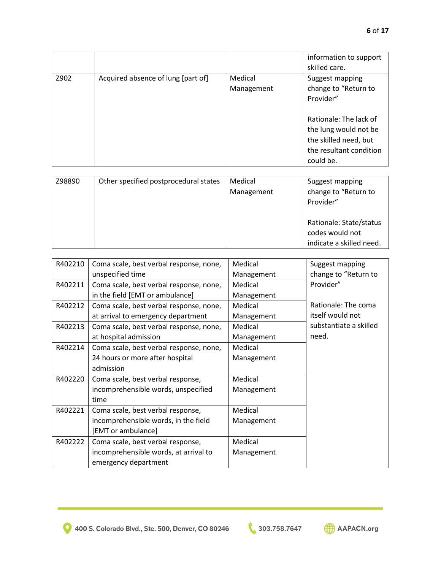|      |                                    |                       | information to support<br>skilled care.                                                                          |
|------|------------------------------------|-----------------------|------------------------------------------------------------------------------------------------------------------|
| Z902 | Acquired absence of lung [part of] | Medical<br>Management | Suggest mapping<br>change to "Return to<br>Provider"                                                             |
|      |                                    |                       | Rationale: The lack of<br>the lung would not be<br>the skilled need, but<br>the resultant condition<br>could be. |

| Z98890 | Other specified postprocedural states | Medical    | Suggest mapping          |
|--------|---------------------------------------|------------|--------------------------|
|        |                                       | Management | change to "Return to     |
|        |                                       |            | Provider"                |
|        |                                       |            |                          |
|        |                                       |            | Rationale: State/status  |
|        |                                       |            | codes would not          |
|        |                                       |            | indicate a skilled need. |

| R402210 | Coma scale, best verbal response, none, | Medical    | Suggest mapping        |
|---------|-----------------------------------------|------------|------------------------|
|         | unspecified time                        | Management | change to "Return to   |
| R402211 | Coma scale, best verbal response, none, | Medical    | Provider"              |
|         | in the field [EMT or ambulance]         | Management |                        |
| R402212 | Coma scale, best verbal response, none, | Medical    | Rationale: The coma    |
|         | at arrival to emergency department      | Management | itself would not       |
| R402213 | Coma scale, best verbal response, none, | Medical    | substantiate a skilled |
|         | at hospital admission                   | Management | need.                  |
| R402214 | Coma scale, best verbal response, none, | Medical    |                        |
|         | 24 hours or more after hospital         | Management |                        |
|         | admission                               |            |                        |
| R402220 | Coma scale, best verbal response,       | Medical    |                        |
|         | incomprehensible words, unspecified     | Management |                        |
|         | time                                    |            |                        |
| R402221 | Coma scale, best verbal response,       | Medical    |                        |
|         | incomprehensible words, in the field    | Management |                        |
|         | [EMT or ambulance]                      |            |                        |
| R402222 | Coma scale, best verbal response,       | Medical    |                        |
|         | incomprehensible words, at arrival to   | Management |                        |
|         | emergency department                    |            |                        |

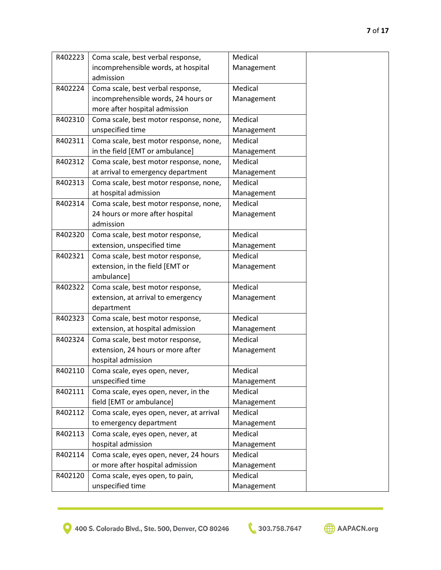| R402223 | Coma scale, best verbal response,        | Medical    |  |
|---------|------------------------------------------|------------|--|
|         | incomprehensible words, at hospital      | Management |  |
|         | admission                                |            |  |
| R402224 | Coma scale, best verbal response,        | Medical    |  |
|         | incomprehensible words, 24 hours or      | Management |  |
|         | more after hospital admission            |            |  |
| R402310 | Coma scale, best motor response, none,   | Medical    |  |
|         | unspecified time                         | Management |  |
| R402311 | Coma scale, best motor response, none,   | Medical    |  |
|         | in the field [EMT or ambulance]          | Management |  |
| R402312 | Coma scale, best motor response, none,   | Medical    |  |
|         | at arrival to emergency department       | Management |  |
| R402313 | Coma scale, best motor response, none,   | Medical    |  |
|         | at hospital admission                    | Management |  |
| R402314 | Coma scale, best motor response, none,   | Medical    |  |
|         | 24 hours or more after hospital          | Management |  |
|         | admission                                |            |  |
| R402320 | Coma scale, best motor response,         | Medical    |  |
|         | extension, unspecified time              | Management |  |
| R402321 | Coma scale, best motor response,         | Medical    |  |
|         | extension, in the field [EMT or          | Management |  |
|         | ambulance]                               |            |  |
| R402322 | Coma scale, best motor response,         | Medical    |  |
|         | extension, at arrival to emergency       | Management |  |
|         | department                               |            |  |
| R402323 | Coma scale, best motor response,         | Medical    |  |
|         | extension, at hospital admission         | Management |  |
| R402324 | Coma scale, best motor response,         | Medical    |  |
|         | extension, 24 hours or more after        | Management |  |
|         | hospital admission                       |            |  |
| R402110 | Coma scale, eyes open, never,            | Medical    |  |
|         | unspecified time                         | Management |  |
| R402111 | Coma scale, eyes open, never, in the     | Medical    |  |
|         | field [EMT or ambulance]                 | Management |  |
| R402112 | Coma scale, eyes open, never, at arrival | Medical    |  |
|         | to emergency department                  | Management |  |
| R402113 | Coma scale, eyes open, never, at         | Medical    |  |
|         | hospital admission                       | Management |  |
| R402114 | Coma scale, eyes open, never, 24 hours   | Medical    |  |
|         | or more after hospital admission         | Management |  |
| R402120 | Coma scale, eyes open, to pain,          | Medical    |  |
|         | unspecified time                         | Management |  |

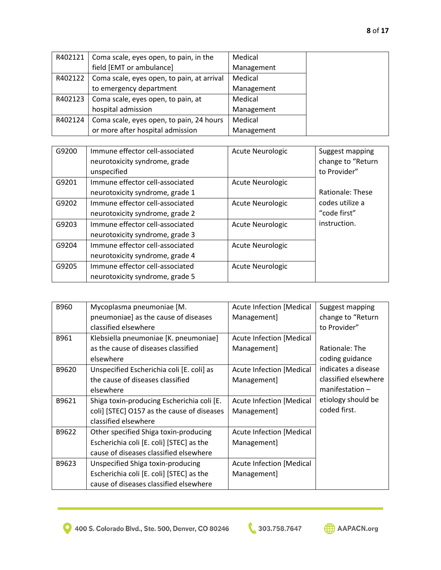| R402121 | Coma scale, eyes open, to pain, in the     | Medical    |  |
|---------|--------------------------------------------|------------|--|
|         | field [EMT or ambulance]                   | Management |  |
| R402122 | Coma scale, eyes open, to pain, at arrival | Medical    |  |
|         | to emergency department                    | Management |  |
| R402123 | Coma scale, eyes open, to pain, at         | Medical    |  |
|         | hospital admission                         | Management |  |
| R402124 | Coma scale, eyes open, to pain, 24 hours   | Medical    |  |
|         | or more after hospital admission           | Management |  |

| G9200 | Immune effector cell-associated<br>neurotoxicity syndrome, grade | <b>Acute Neurologic</b> | Suggest mapping<br>change to "Return |
|-------|------------------------------------------------------------------|-------------------------|--------------------------------------|
|       | unspecified                                                      |                         | to Provider"                         |
| G9201 | Immune effector cell-associated                                  | <b>Acute Neurologic</b> |                                      |
|       | neurotoxicity syndrome, grade 1                                  |                         | Rationale: These                     |
| G9202 | Immune effector cell-associated                                  | <b>Acute Neurologic</b> | codes utilize a                      |
|       | neurotoxicity syndrome, grade 2                                  |                         | "code first"                         |
| G9203 | Immune effector cell-associated                                  | <b>Acute Neurologic</b> | instruction.                         |
|       | neurotoxicity syndrome, grade 3                                  |                         |                                      |
| G9204 | Immune effector cell-associated                                  | Acute Neurologic        |                                      |
|       | neurotoxicity syndrome, grade 4                                  |                         |                                      |
| G9205 | Immune effector cell-associated                                  | <b>Acute Neurologic</b> |                                      |
|       | neurotoxicity syndrome, grade 5                                  |                         |                                      |

| B960  | Mycoplasma pneumoniae [M.                  | <b>Acute Infection [Medical</b> | Suggest mapping      |
|-------|--------------------------------------------|---------------------------------|----------------------|
|       | pneumoniae] as the cause of diseases       | Management]                     | change to "Return    |
|       | classified elsewhere                       |                                 | to Provider"         |
| B961  | Klebsiella pneumoniae [K. pneumoniae]      | <b>Acute Infection [Medical</b> |                      |
|       | as the cause of diseases classified        | Management]                     | Rationale: The       |
|       | elsewhere                                  |                                 | coding guidance      |
| B9620 | Unspecified Escherichia coli [E. coli] as  | <b>Acute Infection [Medical</b> | indicates a disease  |
|       | the cause of diseases classified           | Management]                     | classified elsewhere |
|       | elsewhere                                  |                                 | $manification -$     |
| B9621 | Shiga toxin-producing Escherichia coli [E. | <b>Acute Infection [Medical</b> | etiology should be   |
|       | coli] [STEC] O157 as the cause of diseases | Management]                     | coded first.         |
|       | classified elsewhere                       |                                 |                      |
| B9622 | Other specified Shiga toxin-producing      | <b>Acute Infection [Medical</b> |                      |
|       | Escherichia coli [E. coli] [STEC] as the   | Management]                     |                      |
|       | cause of diseases classified elsewhere     |                                 |                      |
| B9623 | Unspecified Shiga toxin-producing          | <b>Acute Infection [Medical</b> |                      |
|       | Escherichia coli [E. coli] [STEC] as the   | Management]                     |                      |
|       | cause of diseases classified elsewhere     |                                 |                      |

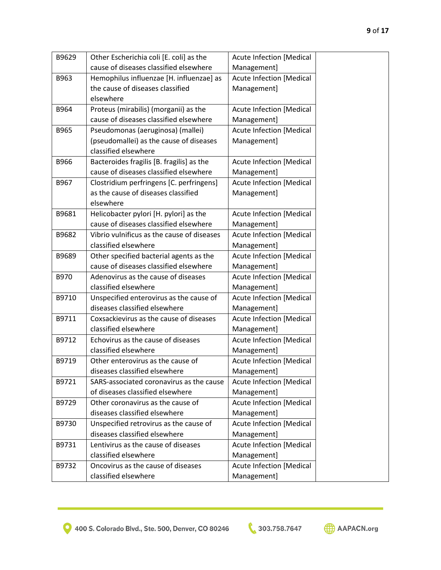| B9629                | Other Escherichia coli [E. coli] as the    | <b>Acute Infection [Medical</b> |
|----------------------|--------------------------------------------|---------------------------------|
|                      | cause of diseases classified elsewhere     | Management]                     |
| B963                 | Hemophilus influenzae [H. influenzae] as   | <b>Acute Infection [Medical</b> |
|                      | the cause of diseases classified           | Management]                     |
| elsewhere            |                                            |                                 |
| B964                 | Proteus (mirabilis) (morganii) as the      | <b>Acute Infection [Medical</b> |
|                      | cause of diseases classified elsewhere     | Management]                     |
| B965                 | Pseudomonas (aeruginosa) (mallei)          | <b>Acute Infection [Medical</b> |
|                      | (pseudomallei) as the cause of diseases    | Management]                     |
| classified elsewhere |                                            |                                 |
| B966                 | Bacteroides fragilis [B. fragilis] as the  | <b>Acute Infection [Medical</b> |
|                      | cause of diseases classified elsewhere     | Management]                     |
| B967                 | Clostridium perfringens [C. perfringens]   | <b>Acute Infection [Medical</b> |
|                      | as the cause of diseases classified        | Management]                     |
| elsewhere            |                                            |                                 |
| B9681                | Helicobacter pylori [H. pylori] as the     | <b>Acute Infection [Medical</b> |
|                      | cause of diseases classified elsewhere     | Management]                     |
| B9682                | Vibrio vulnificus as the cause of diseases | <b>Acute Infection [Medical</b> |
| classified elsewhere |                                            | Management]                     |
| B9689                | Other specified bacterial agents as the    | <b>Acute Infection [Medical</b> |
|                      | cause of diseases classified elsewhere     | Management]                     |
| B970                 | Adenovirus as the cause of diseases        | <b>Acute Infection [Medical</b> |
| classified elsewhere |                                            | Management]                     |
| B9710                | Unspecified enterovirus as the cause of    | <b>Acute Infection [Medical</b> |
|                      | diseases classified elsewhere              | Management]                     |
| B9711                | Coxsackievirus as the cause of diseases    | <b>Acute Infection [Medical</b> |
| classified elsewhere |                                            | Management]                     |
| B9712                | Echovirus as the cause of diseases         | <b>Acute Infection [Medical</b> |
| classified elsewhere |                                            | Management]                     |
| B9719                | Other enterovirus as the cause of          | <b>Acute Infection [Medical</b> |
|                      | diseases classified elsewhere              | Management]                     |
| B9721                | SARS-associated coronavirus as the cause   | <b>Acute Infection [Medical</b> |
|                      | of diseases classified elsewhere           | Management]                     |
| B9729                | Other coronavirus as the cause of          | <b>Acute Infection [Medical</b> |
|                      | diseases classified elsewhere              | Management]                     |
| B9730                | Unspecified retrovirus as the cause of     | <b>Acute Infection [Medical</b> |
|                      | diseases classified elsewhere              | Management]                     |
| B9731                | Lentivirus as the cause of diseases        | <b>Acute Infection [Medical</b> |
| classified elsewhere |                                            | Management]                     |
| B9732                | Oncovirus as the cause of diseases         | <b>Acute Infection [Medical</b> |
| classified elsewhere |                                            | Management]                     |

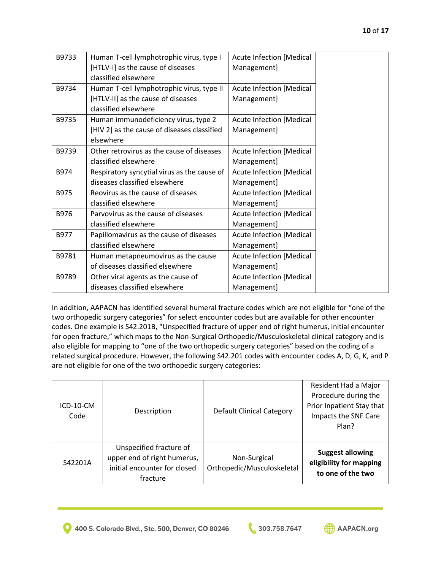| B9733 | Human T-cell lymphotrophic virus, type I    | <b>Acute Infection [Medical</b> |
|-------|---------------------------------------------|---------------------------------|
|       | [HTLV-I] as the cause of diseases           | Management]                     |
|       | classified elsewhere                        |                                 |
| B9734 | Human T-cell lymphotrophic virus, type II   | <b>Acute Infection [Medical</b> |
|       | [HTLV-II] as the cause of diseases          | Management]                     |
|       | classified elsewhere                        |                                 |
| B9735 | Human immunodeficiency virus, type 2        | <b>Acute Infection [Medical</b> |
|       | [HIV 2] as the cause of diseases classified | Management]                     |
|       | elsewhere                                   |                                 |
| B9739 | Other retrovirus as the cause of diseases   | <b>Acute Infection [Medical</b> |
|       | classified elsewhere                        | Management]                     |
| B974  | Respiratory syncytial virus as the cause of | <b>Acute Infection [Medical</b> |
|       | diseases classified elsewhere               | Management]                     |
| B975  | Reovirus as the cause of diseases           | <b>Acute Infection [Medical</b> |
|       | classified elsewhere                        | Management]                     |
| B976  | Parvovirus as the cause of diseases         | <b>Acute Infection [Medical</b> |
|       | classified elsewhere                        | Management]                     |
| B977  | Papillomavirus as the cause of diseases     | <b>Acute Infection [Medical</b> |
|       | classified elsewhere                        | Management]                     |
| B9781 | Human metapneumovirus as the cause          | <b>Acute Infection [Medical</b> |
|       | of diseases classified elsewhere            | Management]                     |
| B9789 | Other viral agents as the cause of          | <b>Acute Infection [Medical</b> |
|       | diseases classified elsewhere               | Management]                     |

In addition, AAPACN has identified several humeral fracture codes which are not eligible for "one of the two orthopedic surgery categories" for select encounter codes but are available for other encounter codes. One example is S42.201B, "Unspecified fracture of upper end of right humerus, initial encounter for open fracture," which maps to the Non-Surgical Orthopedic/Musculoskeletal clinical category and is also eligible for mapping to "one of the two orthopedic surgery categories" based on the coding of a related surgical procedure. However, the following S42.201 codes with encounter codes A, D, G, K, and P are not eligible for one of the two orthopedic surgery categories:

| S42201A           | Unspecified fracture of<br>upper end of right humerus,<br>initial encounter for closed | Non-Surgical<br>Orthopedic/Musculoskeletal | Plan?<br><b>Suggest allowing</b><br>eligibility for mapping                                       |
|-------------------|----------------------------------------------------------------------------------------|--------------------------------------------|---------------------------------------------------------------------------------------------------|
| ICD-10-CM<br>Code | Description                                                                            | <b>Default Clinical Category</b>           | Resident Had a Major<br>Procedure during the<br>Prior Inpatient Stay that<br>Impacts the SNF Care |

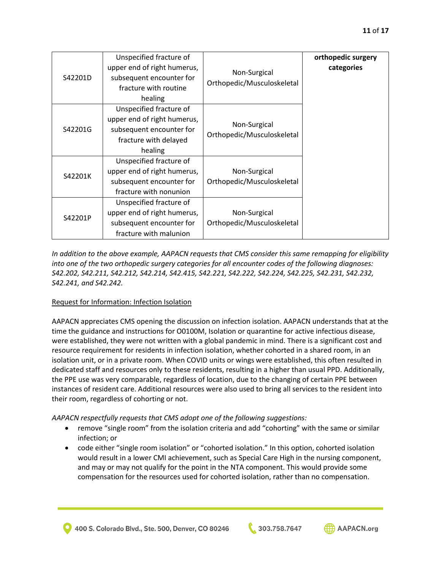|         | Unspecified fracture of     |                                            | orthopedic surgery |
|---------|-----------------------------|--------------------------------------------|--------------------|
| S42201D | upper end of right humerus, | Non-Surgical<br>Orthopedic/Musculoskeletal | categories         |
|         | subsequent encounter for    |                                            |                    |
|         | fracture with routine       |                                            |                    |
|         | healing                     |                                            |                    |
| S42201G | Unspecified fracture of     |                                            |                    |
|         | upper end of right humerus, | Non-Surgical<br>Orthopedic/Musculoskeletal |                    |
|         | subsequent encounter for    |                                            |                    |
|         | fracture with delayed       |                                            |                    |
|         | healing                     |                                            |                    |
| S42201K | Unspecified fracture of     |                                            |                    |
|         | upper end of right humerus, | Non-Surgical                               |                    |
|         | subsequent encounter for    | Orthopedic/Musculoskeletal                 |                    |
|         | fracture with nonunion      |                                            |                    |
| S42201P | Unspecified fracture of     |                                            |                    |
|         | upper end of right humerus, | Non-Surgical                               |                    |
|         | subsequent encounter for    | Orthopedic/Musculoskeletal                 |                    |
|         | fracture with malunion      |                                            |                    |

*In addition to the above example, AAPACN requests that CMS consider this same remapping for eligibility into one of the two orthopedic surgery categories for all encounter codes of the following diagnoses: S42.202, S42.211, S42.212, S42.214, S42.415, S42.221, S42.222, S42.224, S42.225, S42.231, S42.232, S42.241, and S42.242.* 

# Request for Information: Infection Isolation

AAPACN appreciates CMS opening the discussion on infection isolation. AAPACN understands that at the time the guidance and instructions for O0100M, Isolation or quarantine for active infectious disease, were established, they were not written with a global pandemic in mind. There is a significant cost and resource requirement for residents in infection isolation, whether cohorted in a shared room, in an isolation unit, or in a private room. When COVID units or wings were established, this often resulted in dedicated staff and resources only to these residents, resulting in a higher than usual PPD. Additionally, the PPE use was very comparable, regardless of location, due to the changing of certain PPE between instances of resident care. Additional resources were also used to bring all services to the resident into their room, regardless of cohorting or not.

*AAPACN respectfully requests that CMS adopt one of the following suggestions:*

- remove "single room" from the isolation criteria and add "cohorting" with the same or similar infection; or
- code either "single room isolation" or "cohorted isolation." In this option, cohorted isolation would result in a lower CMI achievement, such as Special Care High in the nursing component, and may or may not qualify for the point in the NTA component. This would provide some compensation for the resources used for cohorted isolation, rather than no compensation.

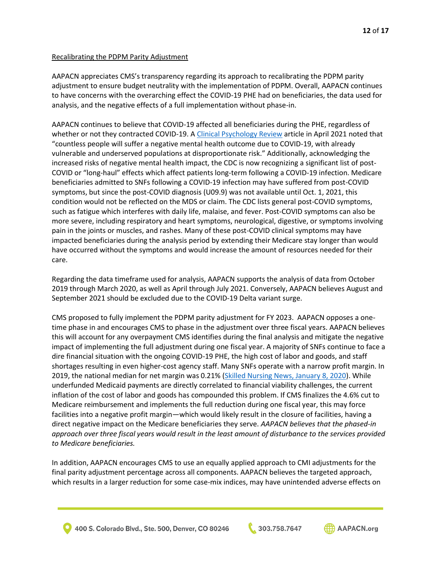## Recalibrating the PDPM Parity Adjustment

AAPACN appreciates CMS's transparency regarding its approach to recalibrating the PDPM parity adjustment to ensure budget neutrality with the implementation of PDPM. Overall, AAPACN continues to have concerns with the overarching effect the COVID-19 PHE had on beneficiaries, the data used for analysis, and the negative effects of a full implementation without phase-in.

AAPACN continues to believe that COVID-19 affected all beneficiaries during the PHE, regardless of whether or not they contracted COVID-19. [A Clinical Psychology Review](https://www.sciencedirect.com/science/article/pii/S0272735821000490) article in April 2021 noted that "countless people will suffer a negative mental health outcome due to COVID-19, with already vulnerable and underserved populations at disproportionate risk." Additionally, acknowledging the increased risks of negative mental health impact, the CDC is now recognizing a significant list of post-COVID or "long-haul" effects which affect patients long-term following a COVID-19 infection. Medicare beneficiaries admitted to SNFs following a COVID-19 infection may have suffered from post-COVID symptoms, but since the post-COVID diagnosis (U09.9) was not available until Oct. 1, 2021, this condition would not be reflected on the MDS or claim. The CDC lists general post-COVID symptoms, such as fatigue which interferes with daily life, malaise, and fever. Post-COVID symptoms can also be more severe, including respiratory and heart symptoms, neurological, digestive, or symptoms involving pain in the joints or muscles, and rashes. Many of these post-COVID clinical symptoms may have impacted beneficiaries during the analysis period by extending their Medicare stay longer than would have occurred without the symptoms and would increase the amount of resources needed for their care.

Regarding the data timeframe used for analysis, AAPACN supports the analysis of data from October 2019 through March 2020, as well as April through July 2021. Conversely, AAPACN believes August and September 2021 should be excluded due to the COVID-19 Delta variant surge.

CMS proposed to fully implement the PDPM parity adjustment for FY 2023. AAPACN opposes a onetime phase in and encourages CMS to phase in the adjustment over three fiscal years. AAPACN believes this will account for any overpayment CMS identifies during the final analysis and mitigate the negative impact of implementing the full adjustment during one fiscal year. A majority of SNFs continue to face a dire financial situation with the ongoing COVID-19 PHE, the high cost of labor and goods, and staff shortages resulting in even higher-cost agency staff. Many SNFs operate with a narrow profit margin. In 2019, the national median for net margin was 0.21% [\(Skilled Nursing News, January 8, 2020\)](https://skillednursingnews.com/2020/01/median-skilled-nursing-margin-breaks-even-but-long-term-financial-viability-is-uncertain/). While underfunded Medicaid payments are directly correlated to financial viability challenges, the current inflation of the cost of labor and goods has compounded this problem. If CMS finalizes the 4.6% cut to Medicare reimbursement and implements the full reduction during one fiscal year, this may force facilities into a negative profit margin—which would likely result in the closure of facilities, having a direct negative impact on the Medicare beneficiaries they serve. *AAPACN believes that the phased-in approach over three fiscal years would result in the least amount of disturbance to the services provided to Medicare beneficiaries.* 

In addition, AAPACN encourages CMS to use an equally applied approach to CMI adjustments for the final parity adjustment percentage across all components. AAPACN believes the targeted approach, which results in a larger reduction for some case-mix indices, may have unintended adverse effects on



400 S. Colorado Blvd., Ste. 500, Denver, CO 80246



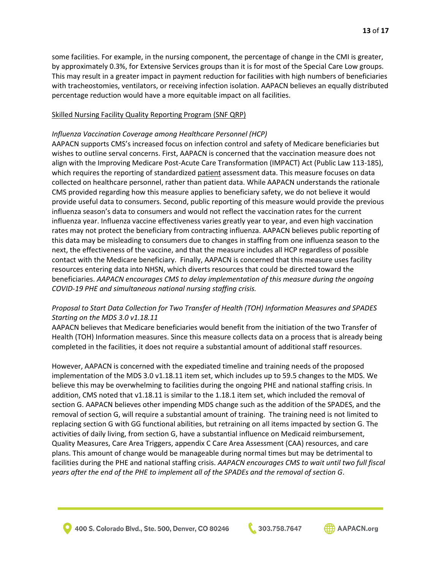some facilities. For example, in the nursing component, the percentage of change in the CMI is greater, by approximately 0.3%, for Extensive Services groups than it is for most of the Special Care Low groups. This may result in a greater impact in payment reduction for facilities with high numbers of beneficiaries with tracheostomies, ventilators, or receiving infection isolation. AAPACN believes an equally distributed percentage reduction would have a more equitable impact on all facilities.

### Skilled Nursing Facility Quality Reporting Program (SNF QRP)

### *Influenza Vaccination Coverage among Healthcare Personnel (HCP)*

AAPACN supports CMS's increased focus on infection control and safety of Medicare beneficiaries but wishes to outline serval concerns. First, AAPACN is concerned that the vaccination measure does not align with the Improving Medicare Post-Acute Care Transformation (IMPACT) Act (Public Law 113-185), which requires the reporting of standardized patient assessment data. This measure focuses on data collected on healthcare personnel, rather than patient data. While AAPACN understands the rationale CMS provided regarding how this measure applies to beneficiary safety, we do not believe it would provide useful data to consumers. Second, public reporting of this measure would provide the previous influenza season's data to consumers and would not reflect the vaccination rates for the current influenza year. Influenza vaccine effectiveness varies greatly year to year, and even high vaccination rates may not protect the beneficiary from contracting influenza. AAPACN believes public reporting of this data may be misleading to consumers due to changes in staffing from one influenza season to the next, the effectiveness of the vaccine, and that the measure includes all HCP regardless of possible contact with the Medicare beneficiary. Finally, AAPACN is concerned that this measure uses facility resources entering data into NHSN, which diverts resources that could be directed toward the beneficiaries. *AAPACN encourages CMS to delay implementation of this measure during the ongoing COVID-19 PHE and simultaneous national nursing staffing crisis.*

## *Proposal to Start Data Collection for Two Transfer of Health (TOH) Information Measures and SPADES Starting on the MDS 3.0 v1.18.11*

AAPACN believes that Medicare beneficiaries would benefit from the initiation of the two Transfer of Health (TOH) Information measures. Since this measure collects data on a process that is already being completed in the facilities, it does not require a substantial amount of additional staff resources.

However, AAPACN is concerned with the expediated timeline and training needs of the proposed implementation of the MDS 3.0 v1.18.11 item set, which includes up to 59.5 changes to the MDS. We believe this may be overwhelming to facilities during the ongoing PHE and national staffing crisis. In addition, CMS noted that v1.18.11 is similar to the 1.18.1 item set, which included the removal of section G. AAPACN believes other impending MDS change such as the addition of the SPADES, and the removal of section G, will require a substantial amount of training. The training need is not limited to replacing section G with GG functional abilities, but retraining on all items impacted by section G. The activities of daily living, from section G, have a substantial influence on Medicaid reimbursement, Quality Measures, Care Area Triggers, appendix C Care Area Assessment (CAA) resources, and care plans. This amount of change would be manageable during normal times but may be detrimental to facilities during the PHE and national staffing crisis. *AAPACN encourages CMS to wait until two full fiscal years after the end of the PHE to implement all of the SPADEs and the removal of section G*.

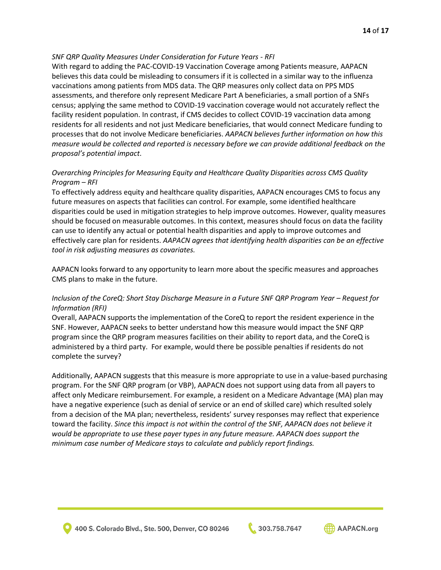## *SNF QRP Quality Measures Under Consideration for Future Years - RFI*

With regard to adding the PAC-COVID-19 Vaccination Coverage among Patients measure, AAPACN believes this data could be misleading to consumers if it is collected in a similar way to the influenza vaccinations among patients from MDS data. The QRP measures only collect data on PPS MDS assessments, and therefore only represent Medicare Part A beneficiaries, a small portion of a SNFs census; applying the same method to COVID-19 vaccination coverage would not accurately reflect the facility resident population. In contrast, if CMS decides to collect COVID-19 vaccination data among residents for all residents and not just Medicare beneficiaries, that would connect Medicare funding to processes that do not involve Medicare beneficiaries. *AAPACN believes further information on how this measure would be collected and reported is necessary before we can provide additional feedback on the proposal's potential impact*.

# *Overarching Principles for Measuring Equity and Healthcare Quality Disparities across CMS Quality Program – RFI*

To effectively address equity and healthcare quality disparities, AAPACN encourages CMS to focus any future measures on aspects that facilities can control. For example, some identified healthcare disparities could be used in mitigation strategies to help improve outcomes. However, quality measures should be focused on measurable outcomes. In this context, measures should focus on data the facility can use to identify any actual or potential health disparities and apply to improve outcomes and effectively care plan for residents. *AAPACN agrees that identifying health disparities can be an effective tool in risk adjusting measures as covariates.*

AAPACN looks forward to any opportunity to learn more about the specific measures and approaches CMS plans to make in the future.

## *Inclusion of the CoreQ: Short Stay Discharge Measure in a Future SNF QRP Program Year – Request for Information (RFI)*

Overall, AAPACN supports the implementation of the CoreQ to report the resident experience in the SNF. However, AAPACN seeks to better understand how this measure would impact the SNF QRP program since the QRP program measures facilities on their ability to report data, and the CoreQ is administered by a third party. For example, would there be possible penalties if residents do not complete the survey?

Additionally, AAPACN suggests that this measure is more appropriate to use in a value-based purchasing program. For the SNF QRP program (or VBP), AAPACN does not support using data from all payers to affect only Medicare reimbursement. For example, a resident on a Medicare Advantage (MA) plan may have a negative experience (such as denial of service or an end of skilled care) which resulted solely from a decision of the MA plan; nevertheless, residents' survey responses may reflect that experience toward the facility. *Since this impact is not within the control of the SNF, AAPACN does not believe it would be appropriate to use these payer types in any future measure. AAPACN does support the minimum case number of Medicare stays to calculate and publicly report findings.*

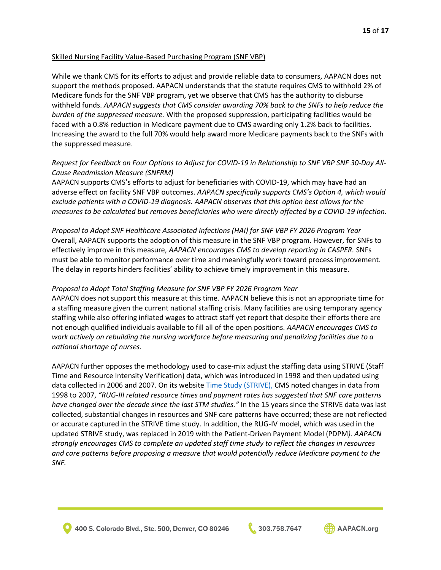### Skilled Nursing Facility Value-Based Purchasing Program (SNF VBP)

While we thank CMS for its efforts to adjust and provide reliable data to consumers, AAPACN does not support the methods proposed. AAPACN understands that the statute requires CMS to withhold 2% of Medicare funds for the SNF VBP program, yet we observe that CMS has the authority to disburse withheld funds. *AAPACN suggests that CMS consider awarding 70% back to the SNFs to help reduce the burden of the suppressed measure.* With the proposed suppression, participating facilities would be faced with a 0.8% reduction in Medicare payment due to CMS awarding only 1.2% back to facilities. Increasing the award to the full 70% would help award more Medicare payments back to the SNFs with the suppressed measure.

## *Request for Feedback on Four Options to Adjust for COVID-19 in Relationship to SNF VBP SNF 30-Day All-Cause Readmission Measure (SNFRM)*

AAPACN supports CMS's efforts to adjust for beneficiaries with COVID-19, which may have had an adverse effect on facility SNF VBP outcomes. *AAPACN specifically supports CMS's Option 4, which would exclude patients with a COVID-19 diagnosis. AAPACN observes that this option best allows for the measures to be calculated but removes beneficiaries who were directly affected by a COVID-19 infection.*

*Proposal to Adopt SNF Healthcare Associated Infections (HAI) for SNF VBP FY 2026 Program Year* Overall, AAPACN supports the adoption of this measure in the SNF VBP program. However, for SNFs to effectively improve in this measure, *AAPACN encourages CMS to develop reporting in CASPER.* SNFs must be able to monitor performance over time and meaningfully work toward process improvement. The delay in reports hinders facilities' ability to achieve timely improvement in this measure.

### *Proposal to Adopt Total Staffing Measure for SNF VBP FY 2026 Program Year*

AAPACN does not support this measure at this time. AAPACN believe this is not an appropriate time for a staffing measure given the current national staffing crisis. Many facilities are using temporary agency staffing while also offering inflated wages to attract staff yet report that despite their efforts there are not enough qualified individuals available to fill all of the open positions. *AAPACN encourages CMS to work actively on rebuilding the nursing workforce before measuring and penalizing facilities due to a national shortage of nurses.*

AAPACN further opposes the methodology used to case-mix adjust the staffing data using STRIVE (Staff Time and Resource Intensity Verification) data, which was introduced in 1998 and then updated using data collected in 2006 and 2007. On its website [Time Study \(STRIVE\),](https://www.cms.gov/Medicare/Medicare-Fee-for-Service-Payment/SNFPPS/TimeStudy) CMS noted changes in data from 1998 to 2007, *"RUG-III related resource times and payment rates has suggested that SNF care patterns have changed over the decade since the last STM studies."* In the 15 years since the STRIVE data was last collected, substantial changes in resources and SNF care patterns have occurred; these are not reflected or accurate captured in the STRIVE time study. In addition, the RUG-IV model, which was used in the updated STRIVE study, was replaced in 2019 with the Patient-Driven Payment Model (PDPM*). AAPACN strongly encourages CMS to complete an updated staff time study to reflect the changes in resources and care patterns before proposing a measure that would potentially reduce Medicare payment to the SNF.* 

303.758.7647

**AD AAPACN.org**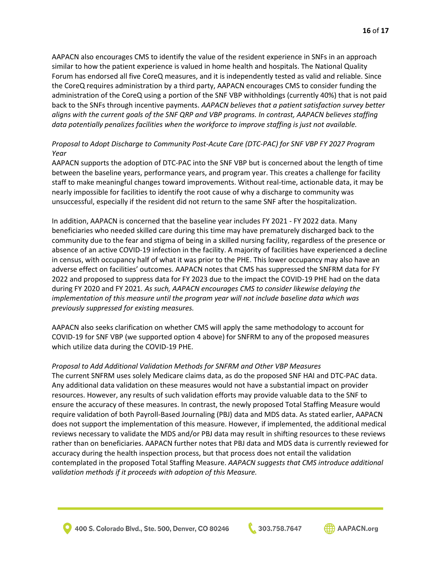AAPACN also encourages CMS to identify the value of the resident experience in SNFs in an approach similar to how the patient experience is valued in home health and hospitals. The National Quality Forum has endorsed all five CoreQ measures, and it is independently tested as valid and reliable. Since the CoreQ requires administration by a third party, AAPACN encourages CMS to consider funding the administration of the CoreQ using a portion of the SNF VBP withholdings (currently 40%) that is not paid back to the SNFs through incentive payments. *AAPACN believes that a patient satisfaction survey better aligns with the current goals of the SNF QRP and VBP programs. In contrast, AAPACN believes staffing data potentially penalizes facilities when the workforce to improve staffing is just not available.*

# *Proposal to Adopt Discharge to Community Post-Acute Care (DTC-PAC) for SNF VBP FY 2027 Program Year*

AAPACN supports the adoption of DTC-PAC into the SNF VBP but is concerned about the length of time between the baseline years, performance years, and program year. This creates a challenge for facility staff to make meaningful changes toward improvements. Without real-time, actionable data, it may be nearly impossible for facilities to identify the root cause of why a discharge to community was unsuccessful, especially if the resident did not return to the same SNF after the hospitalization.

In addition, AAPACN is concerned that the baseline year includes FY 2021 - FY 2022 data. Many beneficiaries who needed skilled care during this time may have prematurely discharged back to the community due to the fear and stigma of being in a skilled nursing facility, regardless of the presence or absence of an active COVID-19 infection in the facility. A majority of facilities have experienced a decline in census, with occupancy half of what it was prior to the PHE. This lower occupancy may also have an adverse effect on facilities' outcomes. AAPACN notes that CMS has suppressed the SNFRM data for FY 2022 and proposed to suppress data for FY 2023 due to the impact the COVID-19 PHE had on the data during FY 2020 and FY 2021*. As such, AAPACN encourages CMS to consider likewise delaying the implementation of this measure until the program year will not include baseline data which was previously suppressed for existing measures.*

AAPACN also seeks clarification on whether CMS will apply the same methodology to account for COVID-19 for SNF VBP (we supported option 4 above) for SNFRM to any of the proposed measures which utilize data during the COVID-19 PHE.

## *Proposal to Add Additional Validation Methods for SNFRM and Other VBP Measures*

The current SNFRM uses solely Medicare claims data, as do the proposed SNF HAI and DTC-PAC data. Any additional data validation on these measures would not have a substantial impact on provider resources. However, any results of such validation efforts may provide valuable data to the SNF to ensure the accuracy of these measures. In contrast, the newly proposed Total Staffing Measure would require validation of both Payroll-Based Journaling (PBJ) data and MDS data. As stated earlier, AAPACN does not support the implementation of this measure. However, if implemented, the additional medical reviews necessary to validate the MDS and/or PBJ data may result in shifting resources to these reviews rather than on beneficiaries. AAPACN further notes that PBJ data and MDS data is currently reviewed for accuracy during the health inspection process, but that process does not entail the validation contemplated in the proposed Total Staffing Measure. *AAPACN suggests that CMS introduce additional validation methods if it proceeds with adoption of this Measure.*

400 S. Colorado Blvd., Ste. 500, Denver, CO 80246